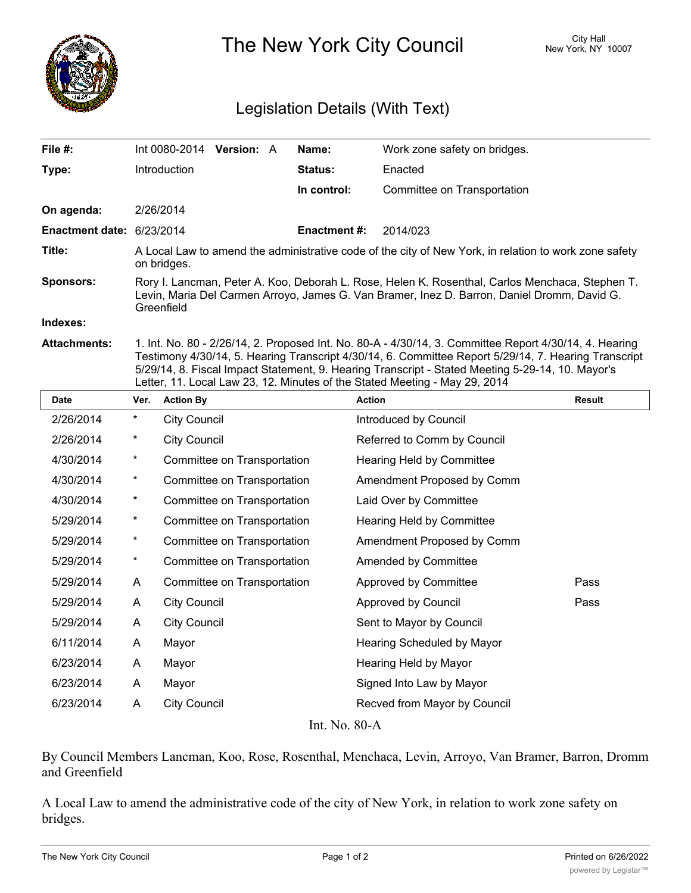

The New York City Council New York, NY 10007

## Legislation Details (With Text)

| File $#$ :                | Int 0080-2014                                                                                                                                                                                                | <b>Version: A</b> |  | Name:          | Work zone safety on bridges. |  |  |
|---------------------------|--------------------------------------------------------------------------------------------------------------------------------------------------------------------------------------------------------------|-------------------|--|----------------|------------------------------|--|--|
| Type:                     | Introduction                                                                                                                                                                                                 |                   |  | <b>Status:</b> | Enacted                      |  |  |
|                           |                                                                                                                                                                                                              |                   |  | In control:    | Committee on Transportation  |  |  |
| On agenda:                | 2/26/2014                                                                                                                                                                                                    |                   |  |                |                              |  |  |
| Enactment date: 6/23/2014 |                                                                                                                                                                                                              |                   |  | Enactment #:   | 2014/023                     |  |  |
| Title:                    | A Local Law to amend the administrative code of the city of New York, in relation to work zone safety<br>on bridges.                                                                                         |                   |  |                |                              |  |  |
| <b>Sponsors:</b>          | Rory I. Lancman, Peter A. Koo, Deborah L. Rose, Helen K. Rosenthal, Carlos Menchaca, Stephen T.<br>Levin, Maria Del Carmen Arroyo, James G. Van Bramer, Inez D. Barron, Daniel Dromm, David G.<br>Greenfield |                   |  |                |                              |  |  |
| Indexes:                  |                                                                                                                                                                                                              |                   |  |                |                              |  |  |
| <b>Attachments:</b>       | 1. Int. No. 80 - 2/26/14, 2. Proposed Int. No. 80-A - 4/30/14, 3. Committee Report 4/30/14, 4. Hearing                                                                                                       |                   |  |                |                              |  |  |

**Attachments:** 1. Int. No. 80 - 2/26/14, 2. Proposed Int. No. 80-A - 4/30/14, 3. Committee Report 4/30/14, 4. Hearing Testimony 4/30/14, 5. Hearing Transcript 4/30/14, 6. Committee Report 5/29/14, 7. Hearing Transcript 5/29/14, 8. Fiscal Impact Statement, 9. Hearing Transcript - Stated Meeting 5-29-14, 10. Mayor's Letter, 11. Local Law 23, 12. Minutes of the Stated Meeting - May 29, 2014

| <b>Date</b> | Ver.                         | <b>Action By</b>            | <b>Action</b>                | Result |  |  |  |  |  |
|-------------|------------------------------|-----------------------------|------------------------------|--------|--|--|--|--|--|
| 2/26/2014   | $^{\star}$                   | <b>City Council</b>         | Introduced by Council        |        |  |  |  |  |  |
| 2/26/2014   | $^\star$                     | <b>City Council</b>         | Referred to Comm by Council  |        |  |  |  |  |  |
| 4/30/2014   | $\ast$                       | Committee on Transportation | Hearing Held by Committee    |        |  |  |  |  |  |
| 4/30/2014   | $\ast$                       | Committee on Transportation | Amendment Proposed by Comm   |        |  |  |  |  |  |
| 4/30/2014   | $\star$                      | Committee on Transportation | Laid Over by Committee       |        |  |  |  |  |  |
| 5/29/2014   | $\star$                      | Committee on Transportation | Hearing Held by Committee    |        |  |  |  |  |  |
| 5/29/2014   | $\ast$                       | Committee on Transportation | Amendment Proposed by Comm   |        |  |  |  |  |  |
| 5/29/2014   | $\star$                      | Committee on Transportation | Amended by Committee         |        |  |  |  |  |  |
| 5/29/2014   | A                            | Committee on Transportation | Approved by Committee        | Pass   |  |  |  |  |  |
| 5/29/2014   | A                            | <b>City Council</b>         | Approved by Council          | Pass   |  |  |  |  |  |
| 5/29/2014   | A                            | <b>City Council</b>         | Sent to Mayor by Council     |        |  |  |  |  |  |
| 6/11/2014   | A                            | Mayor                       | Hearing Scheduled by Mayor   |        |  |  |  |  |  |
| 6/23/2014   | A                            | Mayor                       | Hearing Held by Mayor        |        |  |  |  |  |  |
| 6/23/2014   | A                            | Mayor                       | Signed Into Law by Mayor     |        |  |  |  |  |  |
| 6/23/2014   | A                            | <b>City Council</b>         | Recved from Mayor by Council |        |  |  |  |  |  |
|             | $L + M_2$ $\Omega$ $\Lambda$ |                             |                              |        |  |  |  |  |  |

Int. No. 80-A

By Council Members Lancman, Koo, Rose, Rosenthal, Menchaca, Levin, Arroyo, Van Bramer, Barron, Dromm and Greenfield

A Local Law to amend the administrative code of the city of New York, in relation to work zone safety on bridges.